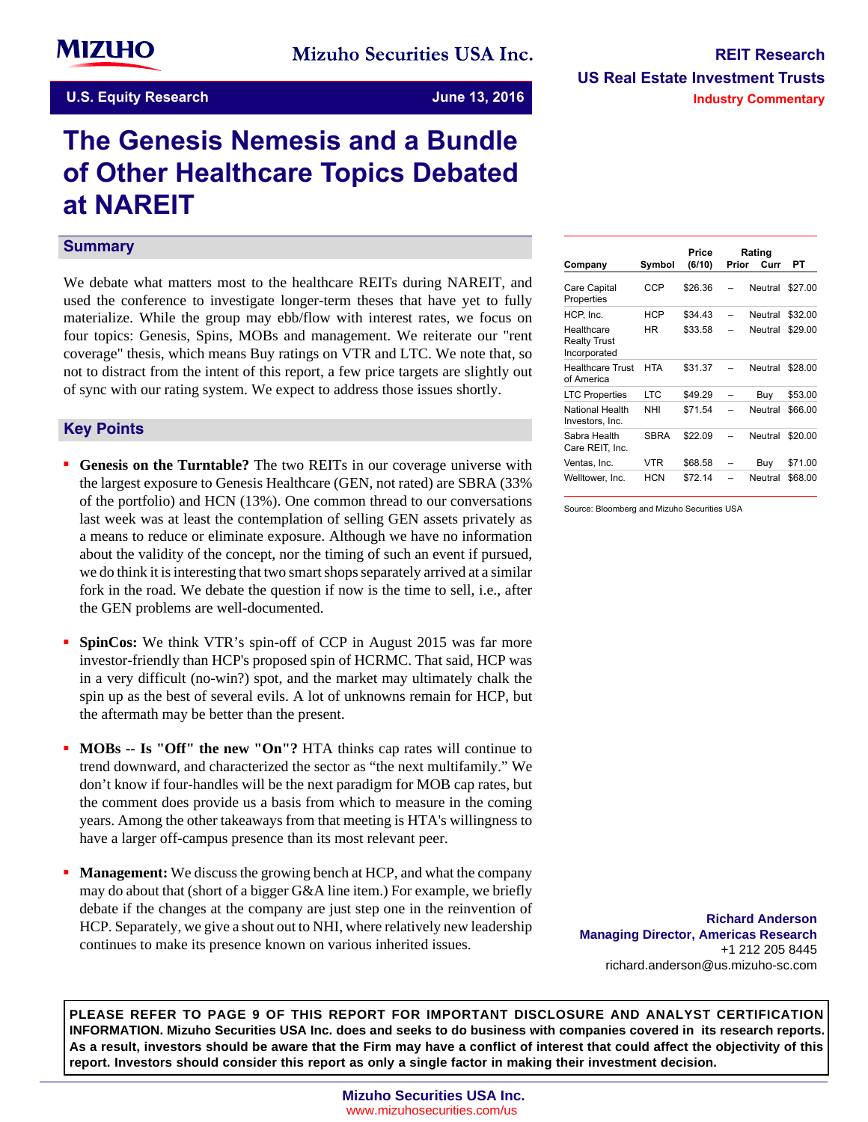# **The Genesis Nemesis and a Bundle of Other Healthcare Topics Debated at NAREIT**

#### **Summary**

We debate what matters most to the healthcare REITs during NAREIT, and used the conference to investigate longer-term theses that have yet to fully materialize. While the group may ebb/flow with interest rates, we focus on four topics: Genesis, Spins, MOBs and management. We reiterate our "rent coverage" thesis, which means Buy ratings on VTR and LTC. We note that, so not to distract from the intent of this report, a few price targets are slightly out of sync with our rating system. We expect to address those issues shortly.

#### **Key-Points**

- **Genesis on the Turntable?** The two REITs in our coverage universe with the largest exposure to Genesis Healthcare (GEN, not rated) are SBRA (33% of the portfolio) and HCN (13%). One common thread to our conversations last week was at least the contemplation of selling GEN assets privately as a means to reduce or eliminate exposure. Although we have no information about the validity of the concept, nor the timing of such an event if pursued, we do think it is interesting that two smart shops separately arrived at a similar fork in the road. We debate the question if now is the time to sell, i.e., after the GEN problems are well-documented.
- **SpinCos:** We think VTR's spin-off of CCP in August 2015 was far more investor-friendly than HCP's proposed spin of HCRMC. That said, HCP was in a very difficult (no-win?) spot, and the market may ultimately chalk the spin up as the best of several evils. A lot of unknowns remain for HCP, but the aftermath may be better than the present.
- **MOBs -- Is "Off" the new "On"?** HTA thinks cap rates will continue to trend downward, and characterized the sector as "the next multifamily." We don't know if four-handles will be the next paradigm for MOB cap rates, but the comment does provide us a basis from which to measure in the coming years. Among the other takeaways from that meeting is HTA's willingness to have a larger off-campus presence than its most relevant peer.
- **Management:** We discuss the growing bench at HCP, and what the company may do about that (short of a bigger G&A line item.) For example, we briefly debate if the changes at the company are just step one in the reinvention of HCP. Separately, we give a shout out to NHI, where relatively new leadership continues to make its presence known on various inherited issues.

| Company                                           | Symbol      | Price<br>(6/10) | Prior | Rating<br>Curr | PТ      |
|---------------------------------------------------|-------------|-----------------|-------|----------------|---------|
| Care Capital<br>Properties                        | CCP         | \$26.36         |       | Neutral        | \$27.00 |
| HCP, Inc.                                         | HCP         | \$34.43         |       | Neutral        | \$32.00 |
| Healthcare<br><b>Realty Trust</b><br>Incorporated | ΗR          | \$33.58         |       | Neutral        | \$29.00 |
| <b>Healthcare Trust</b><br>of America             | <b>HTA</b>  | \$31.37         |       | Neutral        | \$28.00 |
| <b>LTC Properties</b>                             | LTC         | \$49.29         |       | Buy            | \$53.00 |
| <b>National Health</b><br>Investors, Inc.         | NHI         | \$71.54         |       | Neutral        | \$66.00 |
| Sabra Health<br>Care REIT, Inc.                   | <b>SBRA</b> | \$22.09         |       | Neutral        | \$20.00 |
| Ventas, Inc.                                      | VTR         | \$68.58         |       | Buy            | \$71.00 |
| Welltower, Inc.                                   | HCN         | \$72.14         |       | Neutral        | \$68.00 |

Source: Bloomberg and Mizuho Securities USA

**Richard Anderson Managing Director, Americas Research** +1 212 205 8445 richard.anderson@us.mizuho-sc.com

**PLEASE REFER TO PAGE 9 OF THIS REPORT FOR IMPORTANT DISCLOSURE AND ANALYST CERTIFICATION INFORMATION. Mizuho Securities USA Inc. does and seeks to do business with companies covered in its research reports. As a result, investors should be aware that the Firm may have a conflict of interest that could affect the objectivity of this report. Investors should consider this report as only a single factor in making their investment decision.**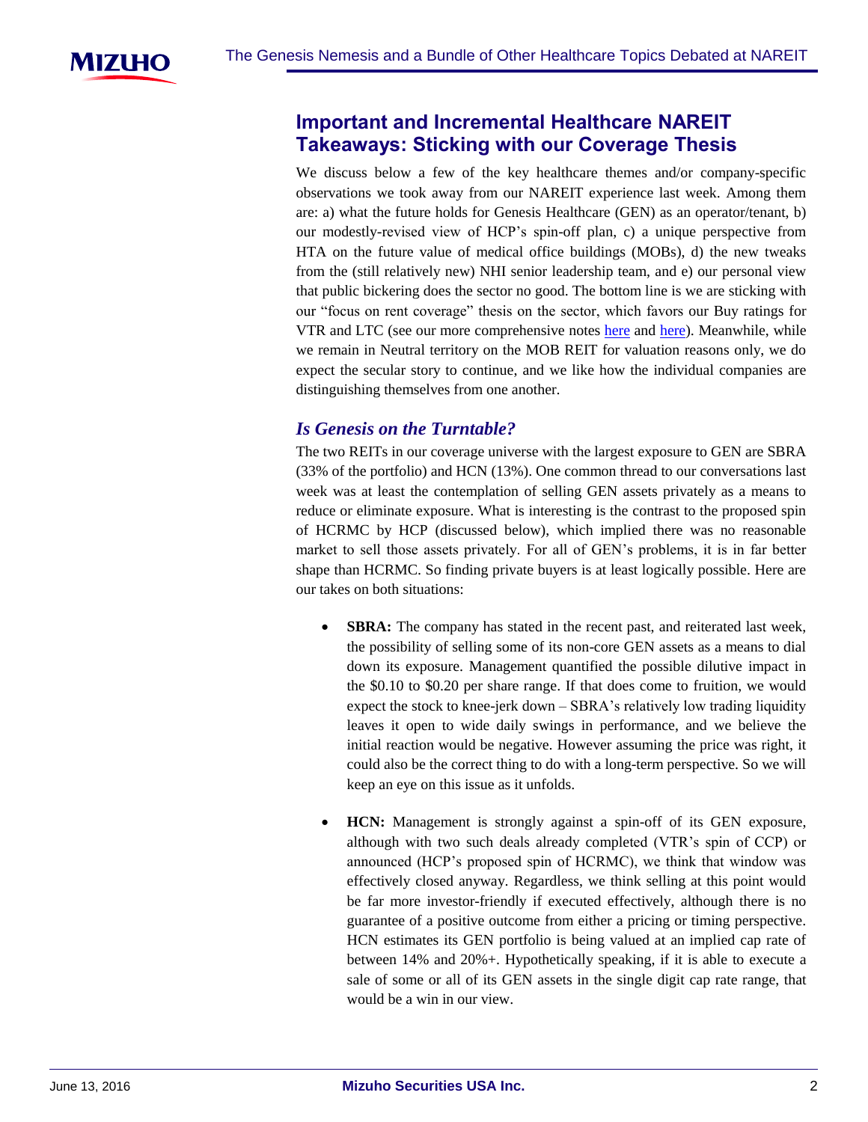

# **Important and Incremental Healthcare NAREIT Takeaways: Sticking with our Coverage Thesis**

We discuss below a few of the key healthcare themes and/or company-specific observations we took away from our NAREIT experience last week. Among them are: a) what the future holds for Genesis Healthcare (GEN) as an operator/tenant, b) our modestly-revised view of HCP's spin-off plan, c) a unique perspective from HTA on the future value of medical office buildings (MOBs), d) the new tweaks from the (still relatively new) NHI senior leadership team, and e) our personal view that public bickering does the sector no good. The bottom line is we are sticking with our "focus on rent coverage" thesis on the sector, which favors our Buy ratings for VTR and LTC (see our more comprehensive notes [here](https://msusa.bluematrix.com/sellside/EmailDocViewer?encrypt=a99d3ab7-966a-4d2b-a6bb-b5158537b908&mime=pdf&co=msusa&id=usaresearchdistributionlist@us.mizuho-sc.com&source=mail) and [here\)](https://msusa.bluematrix.com/sellside/EmailDocViewer?encrypt=c391daeb-1358-4101-bd93-6b2a6ff984d4&mime=pdf&co=msusa&id=usaresearchdistributionlist@us.mizuho-sc.com&source=mail). Meanwhile, while we remain in Neutral territory on the MOB REIT for valuation reasons only, we do expect the secular story to continue, and we like how the individual companies are distinguishing themselves from one another.

# *Is Genesis on the Turntable?*

The two REITs in our coverage universe with the largest exposure to GEN are SBRA (33% of the portfolio) and HCN (13%). One common thread to our conversations last week was at least the contemplation of selling GEN assets privately as a means to reduce or eliminate exposure. What is interesting is the contrast to the proposed spin of HCRMC by HCP (discussed below), which implied there was no reasonable market to sell those assets privately. For all of GEN's problems, it is in far better shape than HCRMC. So finding private buyers is at least logically possible. Here are our takes on both situations:

- **SBRA:** The company has stated in the recent past, and reiterated last week, the possibility of selling some of its non-core GEN assets as a means to dial down its exposure. Management quantified the possible dilutive impact in the \$0.10 to \$0.20 per share range. If that does come to fruition, we would expect the stock to knee-jerk down – SBRA's relatively low trading liquidity leaves it open to wide daily swings in performance, and we believe the initial reaction would be negative. However assuming the price was right, it could also be the correct thing to do with a long-term perspective. So we will keep an eye on this issue as it unfolds.
- **HCN:** Management is strongly against a spin-off of its GEN exposure, although with two such deals already completed (VTR's spin of CCP) or announced (HCP's proposed spin of HCRMC), we think that window was effectively closed anyway. Regardless, we think selling at this point would be far more investor-friendly if executed effectively, although there is no guarantee of a positive outcome from either a pricing or timing perspective. HCN estimates its GEN portfolio is being valued at an implied cap rate of between 14% and 20%+. Hypothetically speaking, if it is able to execute a sale of some or all of its GEN assets in the single digit cap rate range, that would be a win in our view.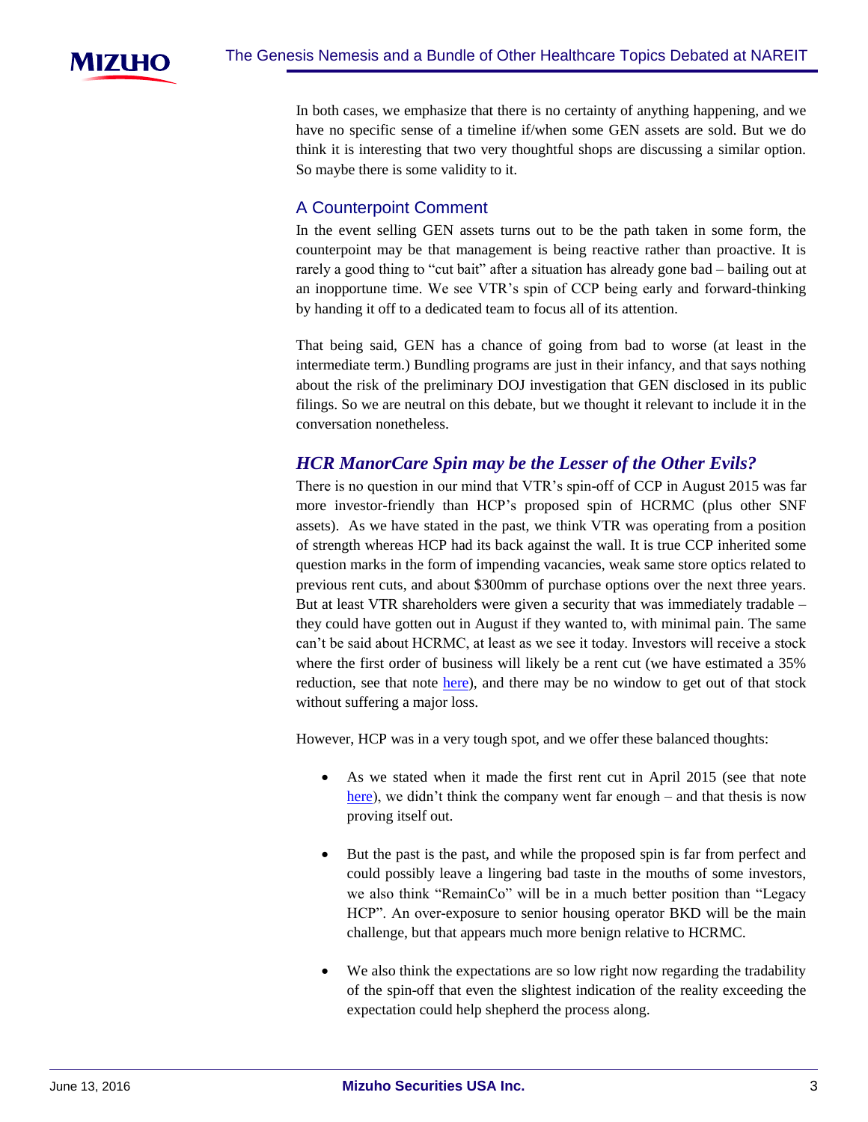

In both cases, we emphasize that there is no certainty of anything happening, and we have no specific sense of a timeline if/when some GEN assets are sold. But we do think it is interesting that two very thoughtful shops are discussing a similar option. So maybe there is some validity to it.

#### A Counterpoint Comment

In the event selling GEN assets turns out to be the path taken in some form, the counterpoint may be that management is being reactive rather than proactive. It is rarely a good thing to "cut bait" after a situation has already gone bad – bailing out at an inopportune time. We see VTR's spin of CCP being early and forward-thinking by handing it off to a dedicated team to focus all of its attention.

That being said, GEN has a chance of going from bad to worse (at least in the intermediate term.) Bundling programs are just in their infancy, and that says nothing about the risk of the preliminary DOJ investigation that GEN disclosed in its public filings. So we are neutral on this debate, but we thought it relevant to include it in the conversation nonetheless.

# *HCR ManorCare Spin may be the Lesser of the Other Evils?*

There is no question in our mind that VTR's spin-off of CCP in August 2015 was far more investor-friendly than HCP's proposed spin of HCRMC (plus other SNF assets). As we have stated in the past, we think VTR was operating from a position of strength whereas HCP had its back against the wall. It is true CCP inherited some question marks in the form of impending vacancies, weak same store optics related to previous rent cuts, and about \$300mm of purchase options over the next three years. But at least VTR shareholders were given a security that was immediately tradable – they could have gotten out in August if they wanted to, with minimal pain. The same can't be said about HCRMC, at least as we see it today. Investors will receive a stock where the first order of business will likely be a rent cut (we have estimated a 35% reduction, see that note [here\)](https://msusa.bluematrix.com/sellside/EmailDocViewer?encrypt=0ab18f86-e22d-4204-b3a7-076f7fa4f09a&mime=pdf&co=msusa&id=usaresearchdistributionlist@us.mizuho-sc.com&source=mail), and there may be no window to get out of that stock without suffering a major loss.

However, HCP was in a very tough spot, and we offer these balanced thoughts:

- As we stated when it made the first rent cut in April 2015 (see that note [here\)](https://msusa.bluematrix.com/sellside/EmailDocViewer?encrypt=6525848b-118b-4d45-a0d2-d8aba337dbb9&mime=pdf&co=msusa&id=richard.anderson@us.mizuho-sc.com&source=mail), we didn't think the company went far enough – and that thesis is now proving itself out.
- But the past is the past, and while the proposed spin is far from perfect and could possibly leave a lingering bad taste in the mouths of some investors, we also think "RemainCo" will be in a much better position than "Legacy HCP". An over-exposure to senior housing operator BKD will be the main challenge, but that appears much more benign relative to HCRMC.
- We also think the expectations are so low right now regarding the tradability of the spin-off that even the slightest indication of the reality exceeding the expectation could help shepherd the process along.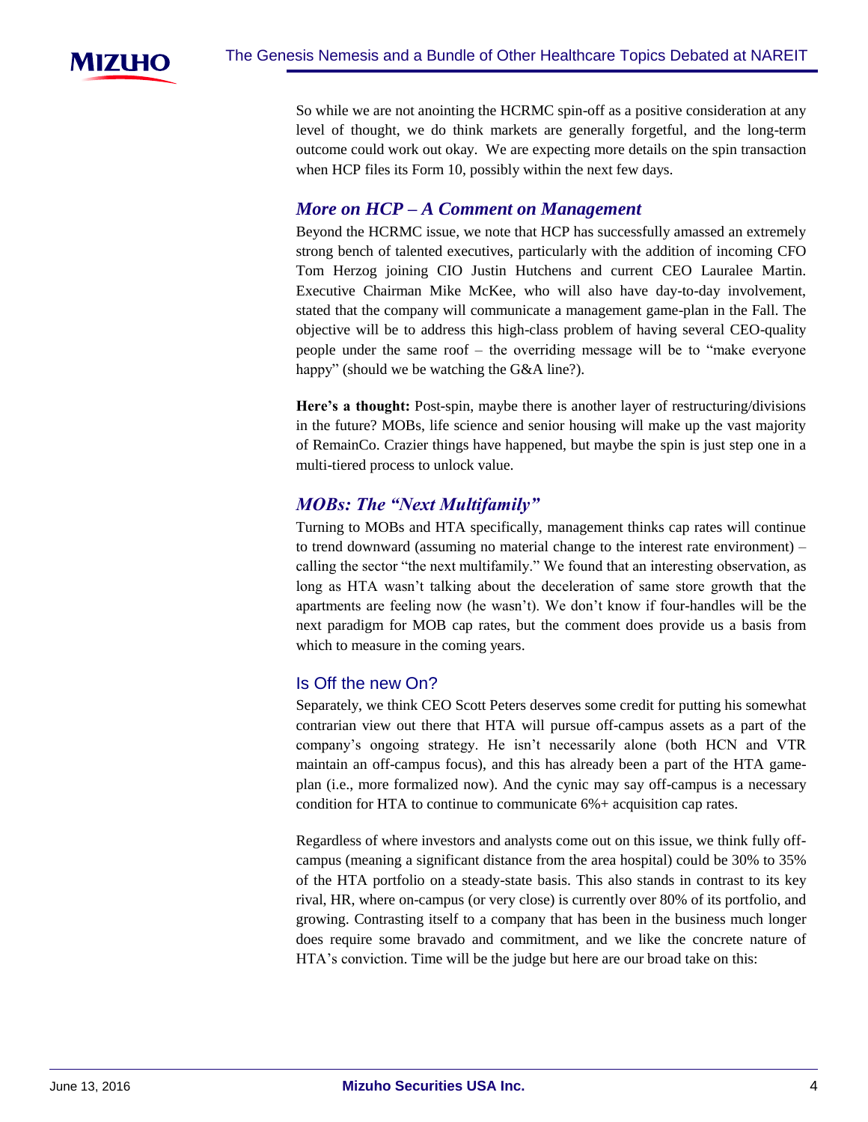

So while we are not anointing the HCRMC spin-off as a positive consideration at any level of thought, we do think markets are generally forgetful, and the long-term outcome could work out okay. We are expecting more details on the spin transaction when HCP files its Form 10, possibly within the next few days.

# *More on HCP – A Comment on Management*

Beyond the HCRMC issue, we note that HCP has successfully amassed an extremely strong bench of talented executives, particularly with the addition of incoming CFO Tom Herzog joining CIO Justin Hutchens and current CEO Lauralee Martin. Executive Chairman Mike McKee, who will also have day-to-day involvement, stated that the company will communicate a management game-plan in the Fall. The objective will be to address this high-class problem of having several CEO-quality people under the same roof – the overriding message will be to "make everyone happy" (should we be watching the G&A line?).

**Here's a thought:** Post-spin, maybe there is another layer of restructuring/divisions in the future? MOBs, life science and senior housing will make up the vast majority of RemainCo. Crazier things have happened, but maybe the spin is just step one in a multi-tiered process to unlock value.

# *MOBs: The "Next Multifamily"*

Turning to MOBs and HTA specifically, management thinks cap rates will continue to trend downward (assuming no material change to the interest rate environment) – calling the sector "the next multifamily." We found that an interesting observation, as long as HTA wasn't talking about the deceleration of same store growth that the apartments are feeling now (he wasn't). We don't know if four-handles will be the next paradigm for MOB cap rates, but the comment does provide us a basis from which to measure in the coming years.

#### Is Off the new On?

Separately, we think CEO Scott Peters deserves some credit for putting his somewhat contrarian view out there that HTA will pursue off-campus assets as a part of the company's ongoing strategy. He isn't necessarily alone (both HCN and VTR maintain an off-campus focus), and this has already been a part of the HTA gameplan (i.e., more formalized now). And the cynic may say off-campus is a necessary condition for HTA to continue to communicate 6%+ acquisition cap rates.

Regardless of where investors and analysts come out on this issue, we think fully offcampus (meaning a significant distance from the area hospital) could be 30% to 35% of the HTA portfolio on a steady-state basis. This also stands in contrast to its key rival, HR, where on-campus (or very close) is currently over 80% of its portfolio, and growing. Contrasting itself to a company that has been in the business much longer does require some bravado and commitment, and we like the concrete nature of HTA's conviction. Time will be the judge but here are our broad take on this: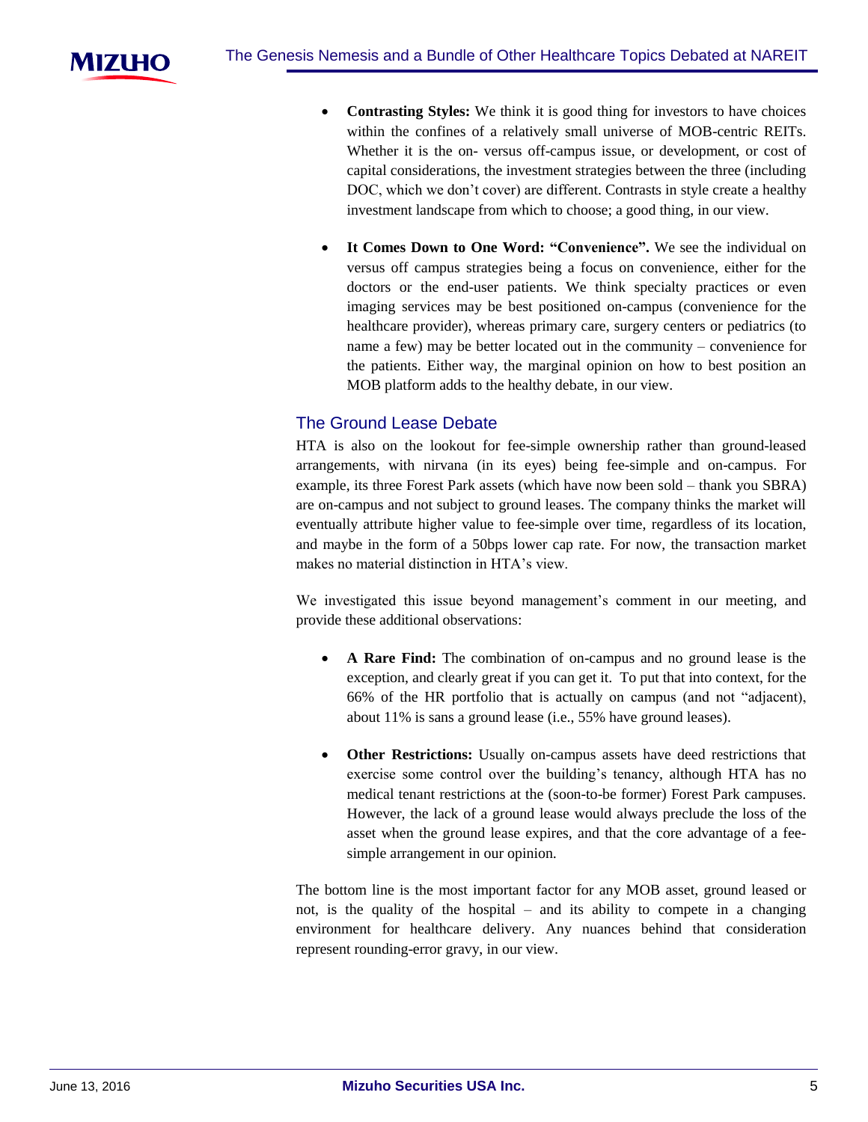

- **Contrasting Styles:** We think it is good thing for investors to have choices within the confines of a relatively small universe of MOB-centric REITs. Whether it is the on- versus off-campus issue, or development, or cost of capital considerations, the investment strategies between the three (including DOC, which we don't cover) are different. Contrasts in style create a healthy investment landscape from which to choose; a good thing, in our view.
- **It Comes Down to One Word: "Convenience".** We see the individual on versus off campus strategies being a focus on convenience, either for the doctors or the end-user patients. We think specialty practices or even imaging services may be best positioned on-campus (convenience for the healthcare provider), whereas primary care, surgery centers or pediatrics (to name a few) may be better located out in the community – convenience for the patients. Either way, the marginal opinion on how to best position an MOB platform adds to the healthy debate, in our view.

#### The Ground Lease Debate

HTA is also on the lookout for fee-simple ownership rather than ground-leased arrangements, with nirvana (in its eyes) being fee-simple and on-campus. For example, its three Forest Park assets (which have now been sold – thank you SBRA) are on-campus and not subject to ground leases. The company thinks the market will eventually attribute higher value to fee-simple over time, regardless of its location, and maybe in the form of a 50bps lower cap rate. For now, the transaction market makes no material distinction in HTA's view.

We investigated this issue beyond management's comment in our meeting, and provide these additional observations:

- **A Rare Find:** The combination of on-campus and no ground lease is the exception, and clearly great if you can get it. To put that into context, for the 66% of the HR portfolio that is actually on campus (and not "adjacent), about 11% is sans a ground lease (i.e., 55% have ground leases).
- **Other Restrictions:** Usually on-campus assets have deed restrictions that exercise some control over the building's tenancy, although HTA has no medical tenant restrictions at the (soon-to-be former) Forest Park campuses. However, the lack of a ground lease would always preclude the loss of the asset when the ground lease expires, and that the core advantage of a feesimple arrangement in our opinion.

The bottom line is the most important factor for any MOB asset, ground leased or not, is the quality of the hospital – and its ability to compete in a changing environment for healthcare delivery. Any nuances behind that consideration represent rounding-error gravy, in our view.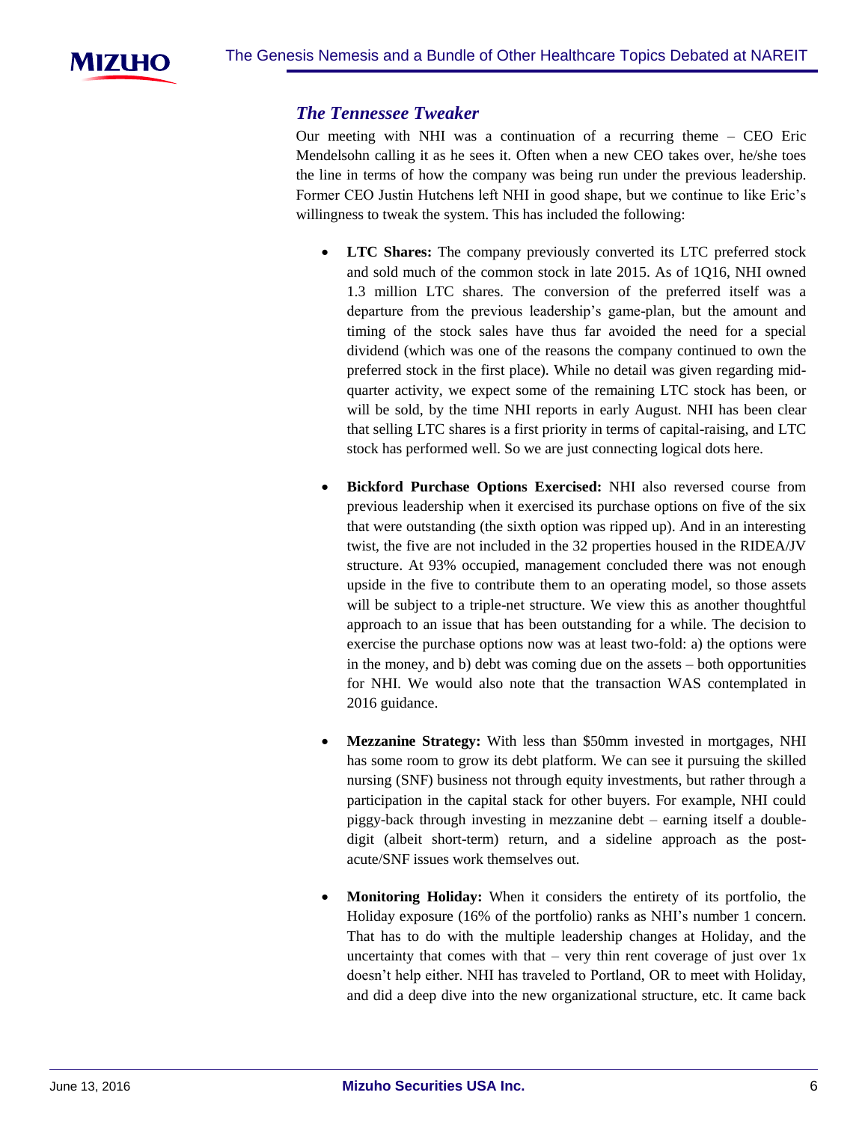

#### *The Tennessee Tweaker*

Our meeting with NHI was a continuation of a recurring theme – CEO Eric Mendelsohn calling it as he sees it. Often when a new CEO takes over, he/she toes the line in terms of how the company was being run under the previous leadership. Former CEO Justin Hutchens left NHI in good shape, but we continue to like Eric's willingness to tweak the system. This has included the following:

- **LTC Shares:** The company previously converted its LTC preferred stock and sold much of the common stock in late 2015. As of 1Q16, NHI owned 1.3 million LTC shares. The conversion of the preferred itself was a departure from the previous leadership's game-plan, but the amount and timing of the stock sales have thus far avoided the need for a special dividend (which was one of the reasons the company continued to own the preferred stock in the first place). While no detail was given regarding midquarter activity, we expect some of the remaining LTC stock has been, or will be sold, by the time NHI reports in early August. NHI has been clear that selling LTC shares is a first priority in terms of capital-raising, and LTC stock has performed well. So we are just connecting logical dots here.
- **Bickford Purchase Options Exercised:** NHI also reversed course from previous leadership when it exercised its purchase options on five of the six that were outstanding (the sixth option was ripped up). And in an interesting twist, the five are not included in the 32 properties housed in the RIDEA/JV structure. At 93% occupied, management concluded there was not enough upside in the five to contribute them to an operating model, so those assets will be subject to a triple-net structure. We view this as another thoughtful approach to an issue that has been outstanding for a while. The decision to exercise the purchase options now was at least two-fold: a) the options were in the money, and b) debt was coming due on the assets – both opportunities for NHI. We would also note that the transaction WAS contemplated in 2016 guidance.
- **Mezzanine Strategy:** With less than \$50mm invested in mortgages, NHI has some room to grow its debt platform. We can see it pursuing the skilled nursing (SNF) business not through equity investments, but rather through a participation in the capital stack for other buyers. For example, NHI could piggy-back through investing in mezzanine debt – earning itself a doubledigit (albeit short-term) return, and a sideline approach as the postacute/SNF issues work themselves out.
- **Monitoring Holiday:** When it considers the entirety of its portfolio, the Holiday exposure (16% of the portfolio) ranks as NHI's number 1 concern. That has to do with the multiple leadership changes at Holiday, and the uncertainty that comes with that – very thin rent coverage of just over  $1x$ doesn't help either. NHI has traveled to Portland, OR to meet with Holiday, and did a deep dive into the new organizational structure, etc. It came back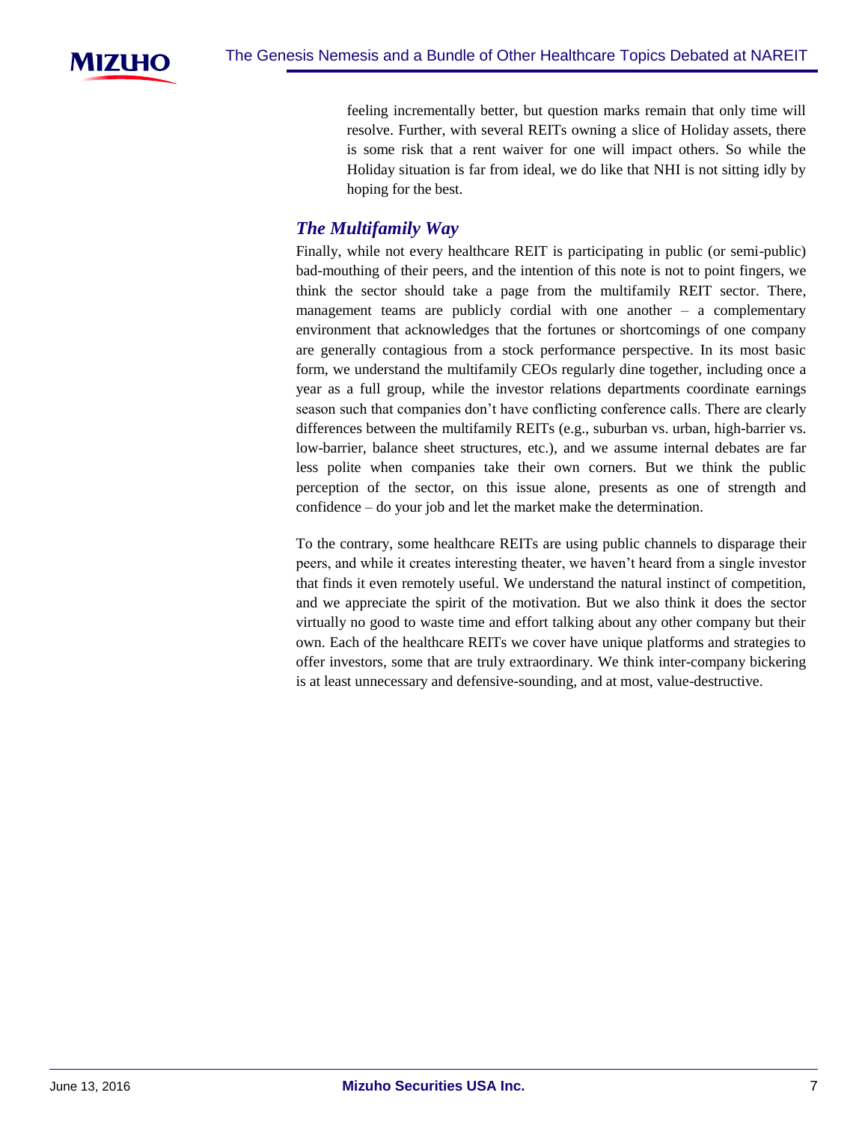

feeling incrementally better, but question marks remain that only time will resolve. Further, with several REITs owning a slice of Holiday assets, there is some risk that a rent waiver for one will impact others. So while the Holiday situation is far from ideal, we do like that NHI is not sitting idly by hoping for the best.

# *The Multifamily Way*

Finally, while not every healthcare REIT is participating in public (or semi-public) bad-mouthing of their peers, and the intention of this note is not to point fingers, we think the sector should take a page from the multifamily REIT sector. There, management teams are publicly cordial with one another – a complementary environment that acknowledges that the fortunes or shortcomings of one company are generally contagious from a stock performance perspective. In its most basic form, we understand the multifamily CEOs regularly dine together, including once a year as a full group, while the investor relations departments coordinate earnings season such that companies don't have conflicting conference calls. There are clearly differences between the multifamily REITs (e.g., suburban vs. urban, high-barrier vs. low-barrier, balance sheet structures, etc.), and we assume internal debates are far less polite when companies take their own corners. But we think the public perception of the sector, on this issue alone, presents as one of strength and confidence – do your job and let the market make the determination.

To the contrary, some healthcare REITs are using public channels to disparage their peers, and while it creates interesting theater, we haven't heard from a single investor that finds it even remotely useful. We understand the natural instinct of competition, and we appreciate the spirit of the motivation. But we also think it does the sector virtually no good to waste time and effort talking about any other company but their own. Each of the healthcare REITs we cover have unique platforms and strategies to offer investors, some that are truly extraordinary. We think inter-company bickering is at least unnecessary and defensive-sounding, and at most, value-destructive.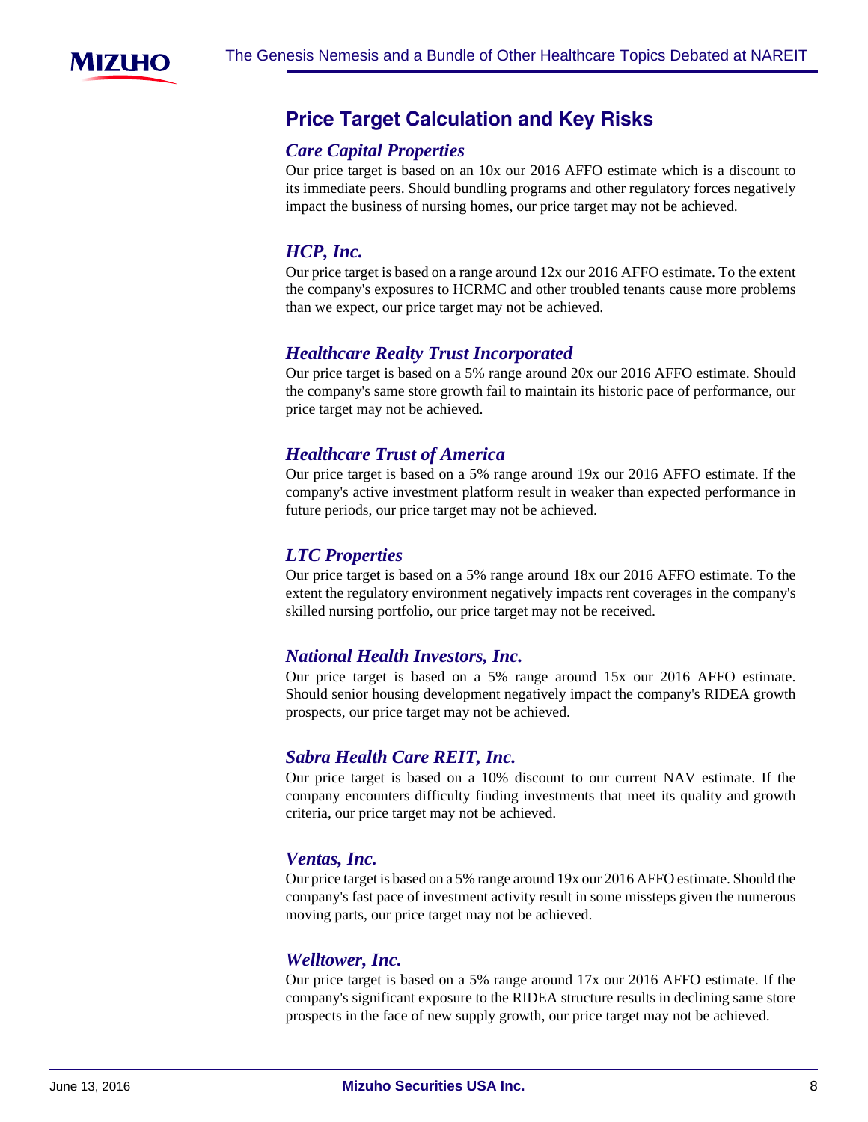

# **Price-Target-Calculation-and-Key-Risks**

#### *Care Capital Properties*

Our price target is based on an 10x our 2016 AFFO estimate which is a discount to its immediate peers. Should bundling programs and other regulatory forces negatively impact the business of nursing homes, our price target may not be achieved.

# *HCP, Inc.*

Our price target is based on a range around 12x our 2016 AFFO estimate. To the extent the company's exposures to HCRMC and other troubled tenants cause more problems than we expect, our price target may not be achieved.

# *Healthcare Realty Trust Incorporated*

Our price target is based on a 5% range around 20x our 2016 AFFO estimate. Should the company's same store growth fail to maintain its historic pace of performance, our price target may not be achieved.

# *Healthcare Trust of America*

Our price target is based on a 5% range around 19x our 2016 AFFO estimate. If the company's active investment platform result in weaker than expected performance in future periods, our price target may not be achieved.

# *LTC Properties*

Our price target is based on a 5% range around 18x our 2016 AFFO estimate. To the extent the regulatory environment negatively impacts rent coverages in the company's skilled nursing portfolio, our price target may not be received.

#### *National Health Investors, Inc.*

Our price target is based on a 5% range around 15x our 2016 AFFO estimate. Should senior housing development negatively impact the company's RIDEA growth prospects, our price target may not be achieved.

#### *Sabra Health Care REIT, Inc.*

Our price target is based on a 10% discount to our current NAV estimate. If the company encounters difficulty finding investments that meet its quality and growth criteria, our price target may not be achieved.

# *Ventas, Inc.*

Our price target is based on a 5% range around 19x our 2016 AFFO estimate. Should the company's fast pace of investment activity result in some missteps given the numerous moving parts, our price target may not be achieved.

#### *Welltower, Inc.*

Our price target is based on a 5% range around 17x our 2016 AFFO estimate. If the company's significant exposure to the RIDEA structure results in declining same store prospects in the face of new supply growth, our price target may not be achieved.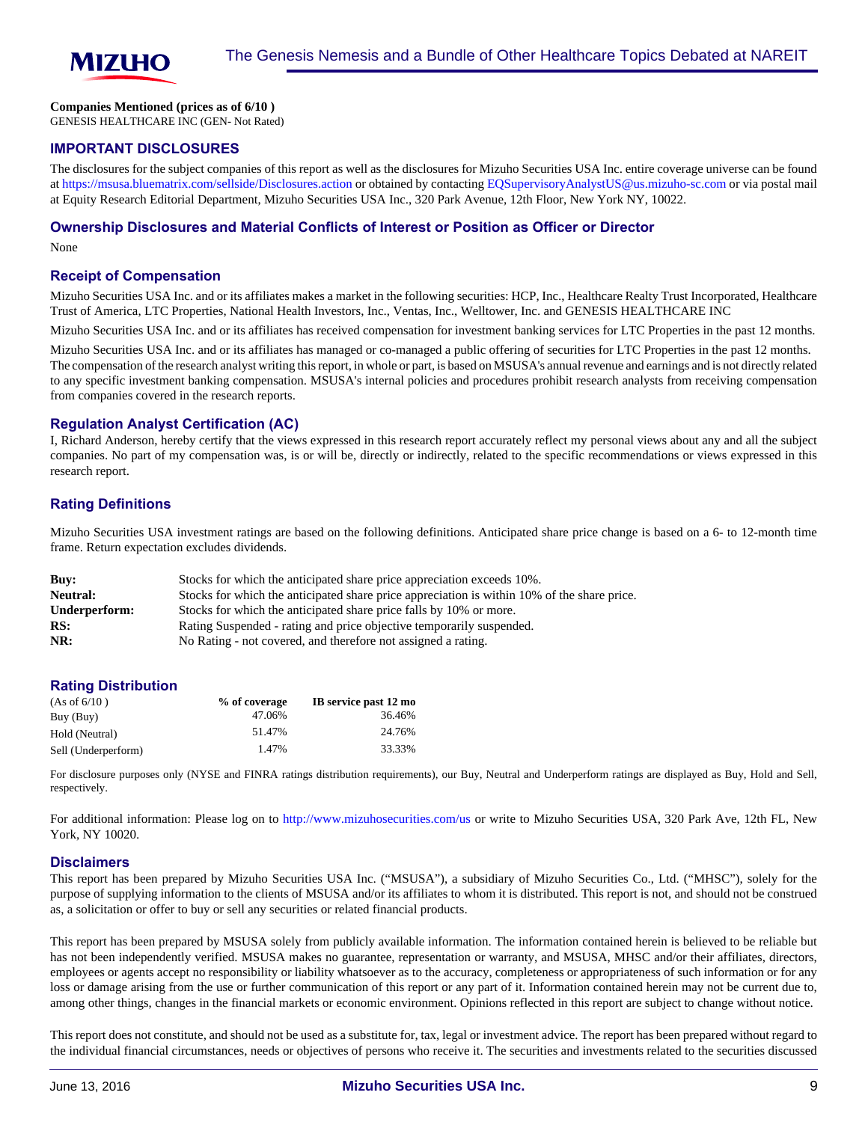

#### **Companies Mentioned (prices as of 6/10 )**

GENESIS HEALTHCARE INC (GEN- Not Rated)

#### **IMPORTANT DISCLOSURES**

The disclosures for the subject companies of this report as well as the disclosures for Mizuho Securities USA Inc. entire coverage universe can be found at<https://msusa.bluematrix.com/sellside/Disclosures.action>or obtained by contacting [EQSupervisoryAnalystUS@us.mizuho-sc.com](mailto:EQSupervisoryAnalystUS@us.mizuho-sc.com) or via postal mail at Equity Research Editorial Department, Mizuho Securities USA Inc., 320 Park Avenue, 12th Floor, New York NY, 10022.

#### **Ownership Disclosures and Material Conflicts of Interest or Position as Officer or Director**

None

#### **Receipt of Compensation**

Mizuho Securities USA Inc. and or its affiliates makes a market in the following securities: HCP, Inc., Healthcare Realty Trust Incorporated, Healthcare Trust of America, LTC Properties, National Health Investors, Inc., Ventas, Inc., Welltower, Inc. and GENESIS HEALTHCARE INC

Mizuho Securities USA Inc. and or its affiliates has received compensation for investment banking services for LTC Properties in the past 12 months.

Mizuho Securities USA Inc. and or its affiliates has managed or co-managed a public offering of securities for LTC Properties in the past 12 months. The compensation of the research analyst writing this report, in whole or part, is based on MSUSA's annual revenue and earnings and is not directly related to any specific investment banking compensation. MSUSA's internal policies and procedures prohibit research analysts from receiving compensation from companies covered in the research reports.

#### **Regulation Analyst Certification (AC)**

I, Richard Anderson, hereby certify that the views expressed in this research report accurately reflect my personal views about any and all the subject companies. No part of my compensation was, is or will be, directly or indirectly, related to the specific recommendations or views expressed in this research report.

#### **Rating Definitions**

Mizuho Securities USA investment ratings are based on the following definitions. Anticipated share price change is based on a 6- to 12-month time frame. Return expectation excludes dividends.

| Buv:          | Stocks for which the anticipated share price appreciation exceeds 10%.                      |
|---------------|---------------------------------------------------------------------------------------------|
| Neutral:      | Stocks for which the anticipated share price appreciation is within 10% of the share price. |
| Underperform: | Stocks for which the anticipated share price falls by 10% or more.                          |
| RS:           | Rating Suspended - rating and price objective temporarily suspended.                        |
| NR:           | No Rating - not covered, and therefore not assigned a rating.                               |

#### **Rating Distribution**

| (As of 6/10)        | % of coverage | IB service past 12 mo |
|---------------------|---------------|-----------------------|
| Buy (Buy)           | 47.06%        | 36.46%                |
| Hold (Neutral)      | 51.47%        | 24.76%                |
| Sell (Underperform) | 1.47%         | 33.33%                |

For disclosure purposes only (NYSE and FINRA ratings distribution requirements), our Buy, Neutral and Underperform ratings are displayed as Buy, Hold and Sell, respectively.

For additional information: Please log on to <http://www.mizuhosecurities.com/us> or write to Mizuho Securities USA, 320 Park Ave, 12th FL, New York, NY 10020.

#### **Disclaimers**

This report has been prepared by Mizuho Securities USA Inc. ("MSUSA"), a subsidiary of Mizuho Securities Co., Ltd. ("MHSC"), solely for the purpose of supplying information to the clients of MSUSA and/or its affiliates to whom it is distributed. This report is not, and should not be construed as, a solicitation or offer to buy or sell any securities or related financial products.

This report has been prepared by MSUSA solely from publicly available information. The information contained herein is believed to be reliable but has not been independently verified. MSUSA makes no guarantee, representation or warranty, and MSUSA, MHSC and/or their affiliates, directors, employees or agents accept no responsibility or liability whatsoever as to the accuracy, completeness or appropriateness of such information or for any loss or damage arising from the use or further communication of this report or any part of it. Information contained herein may not be current due to, among other things, changes in the financial markets or economic environment. Opinions reflected in this report are subject to change without notice.

This report does not constitute, and should not be used as a substitute for, tax, legal or investment advice. The report has been prepared without regard to the individual financial circumstances, needs or objectives of persons who receive it. The securities and investments related to the securities discussed